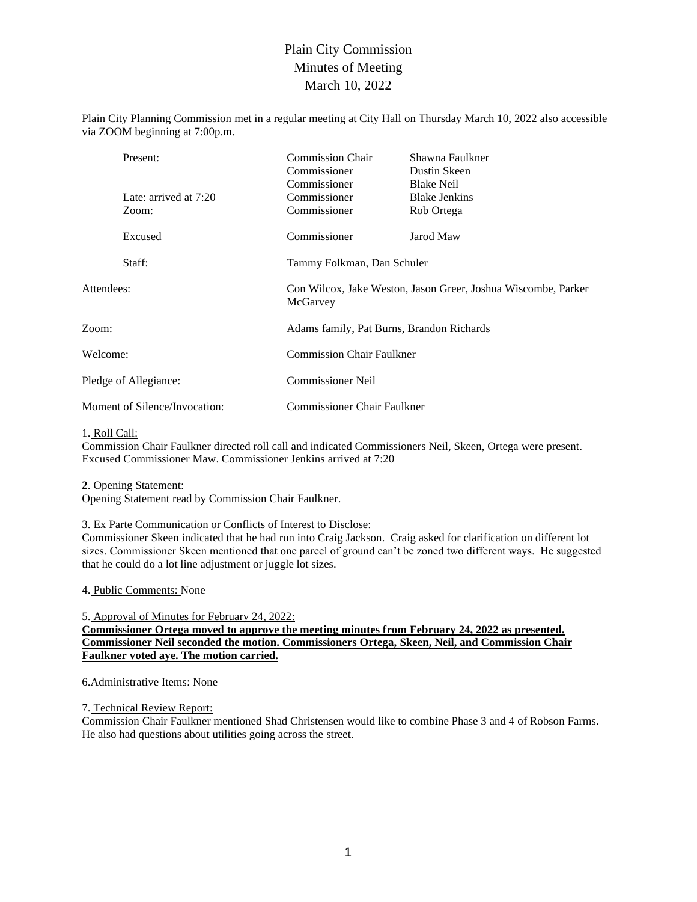Plain City Planning Commission met in a regular meeting at City Hall on Thursday March 10, 2022 also accessible via ZOOM beginning at 7:00p.m.

|                               | Present:                | <b>Commission Chair</b><br>Commissioner<br>Commissioner                   | Shawna Faulkner<br>Dustin Skeen<br><b>Blake Neil</b> |  |
|-------------------------------|-------------------------|---------------------------------------------------------------------------|------------------------------------------------------|--|
|                               | Late: arrived at $7:20$ | Commissioner                                                              | <b>Blake Jenkins</b>                                 |  |
|                               | Zoom:                   | Commissioner                                                              | Rob Ortega                                           |  |
|                               | Excused                 | Commissioner                                                              | Jarod Maw                                            |  |
|                               | Staff:                  | Tammy Folkman, Dan Schuler                                                |                                                      |  |
| Attendees:                    |                         | Con Wilcox, Jake Weston, Jason Greer, Joshua Wiscombe, Parker<br>McGarvey |                                                      |  |
| Zoom:                         |                         | Adams family, Pat Burns, Brandon Richards                                 |                                                      |  |
| Welcome:                      |                         | <b>Commission Chair Faulkner</b>                                          |                                                      |  |
| Pledge of Allegiance:         |                         | <b>Commissioner Neil</b>                                                  |                                                      |  |
| Moment of Silence/Invocation: |                         | <b>Commissioner Chair Faulkner</b>                                        |                                                      |  |

#### 1. Roll Call:

Commission Chair Faulkner directed roll call and indicated Commissioners Neil, Skeen, Ortega were present. Excused Commissioner Maw. Commissioner Jenkins arrived at 7:20

**2**. Opening Statement:

Opening Statement read by Commission Chair Faulkner.

#### 3. Ex Parte Communication or Conflicts of Interest to Disclose:

Commissioner Skeen indicated that he had run into Craig Jackson. Craig asked for clarification on different lot sizes. Commissioner Skeen mentioned that one parcel of ground can't be zoned two different ways. He suggested that he could do a lot line adjustment or juggle lot sizes.

4. Public Comments: None

5. Approval of Minutes for February 24, 2022:

### **Commissioner Ortega moved to approve the meeting minutes from February 24, 2022 as presented. Commissioner Neil seconded the motion. Commissioners Ortega, Skeen, Neil, and Commission Chair Faulkner voted aye. The motion carried.**

### 6.Administrative Items: None

### 7. Technical Review Report:

Commission Chair Faulkner mentioned Shad Christensen would like to combine Phase 3 and 4 of Robson Farms. He also had questions about utilities going across the street.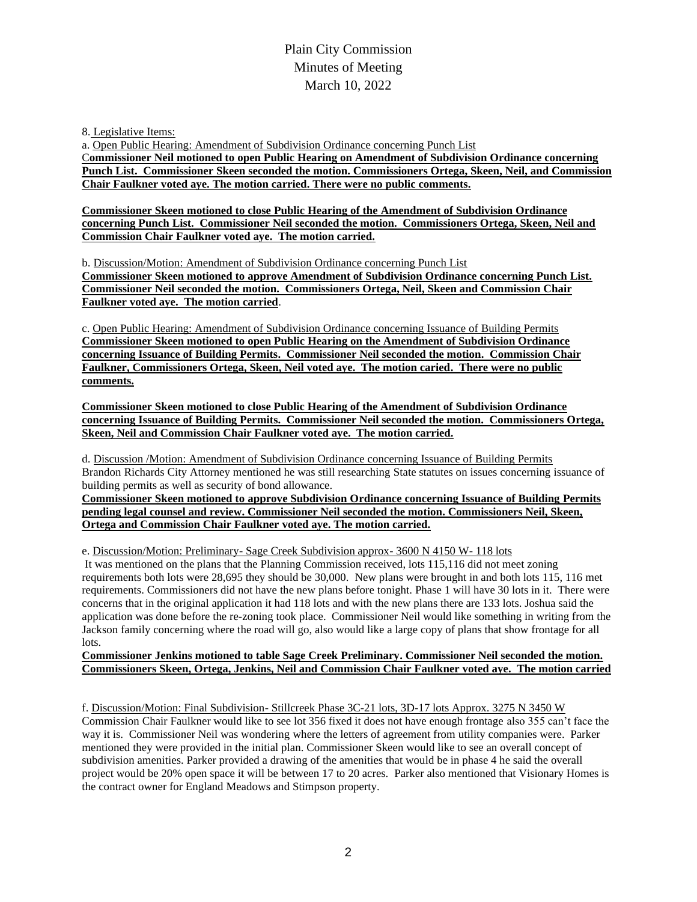8. Legislative Items:

a. Open Public Hearing: Amendment of Subdivision Ordinance concerning Punch List C**ommissioner Neil motioned to open Public Hearing on Amendment of Subdivision Ordinance concerning Punch List. Commissioner Skeen seconded the motion. Commissioners Ortega, Skeen, Neil, and Commission Chair Faulkner voted aye. The motion carried. There were no public comments.**

**Commissioner Skeen motioned to close Public Hearing of the Amendment of Subdivision Ordinance concerning Punch List. Commissioner Neil seconded the motion. Commissioners Ortega, Skeen, Neil and Commission Chair Faulkner voted aye. The motion carried.**

b. Discussion/Motion: Amendment of Subdivision Ordinance concerning Punch List **Commissioner Skeen motioned to approve Amendment of Subdivision Ordinance concerning Punch List. Commissioner Neil seconded the motion. Commissioners Ortega, Neil, Skeen and Commission Chair Faulkner voted aye. The motion carried**.

c. Open Public Hearing: Amendment of Subdivision Ordinance concerning Issuance of Building Permits **Commissioner Skeen motioned to open Public Hearing on the Amendment of Subdivision Ordinance concerning Issuance of Building Permits. Commissioner Neil seconded the motion. Commission Chair Faulkner, Commissioners Ortega, Skeen, Neil voted aye. The motion caried. There were no public comments.**

**Commissioner Skeen motioned to close Public Hearing of the Amendment of Subdivision Ordinance concerning Issuance of Building Permits. Commissioner Neil seconded the motion. Commissioners Ortega, Skeen, Neil and Commission Chair Faulkner voted aye. The motion carried.**

d. Discussion /Motion: Amendment of Subdivision Ordinance concerning Issuance of Building Permits Brandon Richards City Attorney mentioned he was still researching State statutes on issues concerning issuance of building permits as well as security of bond allowance.

**Commissioner Skeen motioned to approve Subdivision Ordinance concerning Issuance of Building Permits pending legal counsel and review. Commissioner Neil seconded the motion. Commissioners Neil, Skeen, Ortega and Commission Chair Faulkner voted aye. The motion carried.**

e. Discussion/Motion: Preliminary- Sage Creek Subdivision approx- 3600 N 4150 W- 118 lots

It was mentioned on the plans that the Planning Commission received, lots 115,116 did not meet zoning requirements both lots were 28,695 they should be 30,000. New plans were brought in and both lots 115, 116 met requirements. Commissioners did not have the new plans before tonight. Phase 1 will have 30 lots in it. There were concerns that in the original application it had 118 lots and with the new plans there are 133 lots. Joshua said the application was done before the re-zoning took place. Commissioner Neil would like something in writing from the Jackson family concerning where the road will go, also would like a large copy of plans that show frontage for all lots.

### **Commissioner Jenkins motioned to table Sage Creek Preliminary. Commissioner Neil seconded the motion. Commissioners Skeen, Ortega, Jenkins, Neil and Commission Chair Faulkner voted aye. The motion carried**

f. Discussion/Motion: Final Subdivision- Stillcreek Phase 3C-21 lots, 3D-17 lots Approx. 3275 N 3450 W Commission Chair Faulkner would like to see lot 356 fixed it does not have enough frontage also 355 can't face the way it is. Commissioner Neil was wondering where the letters of agreement from utility companies were. Parker mentioned they were provided in the initial plan. Commissioner Skeen would like to see an overall concept of subdivision amenities. Parker provided a drawing of the amenities that would be in phase 4 he said the overall project would be 20% open space it will be between 17 to 20 acres. Parker also mentioned that Visionary Homes is the contract owner for England Meadows and Stimpson property.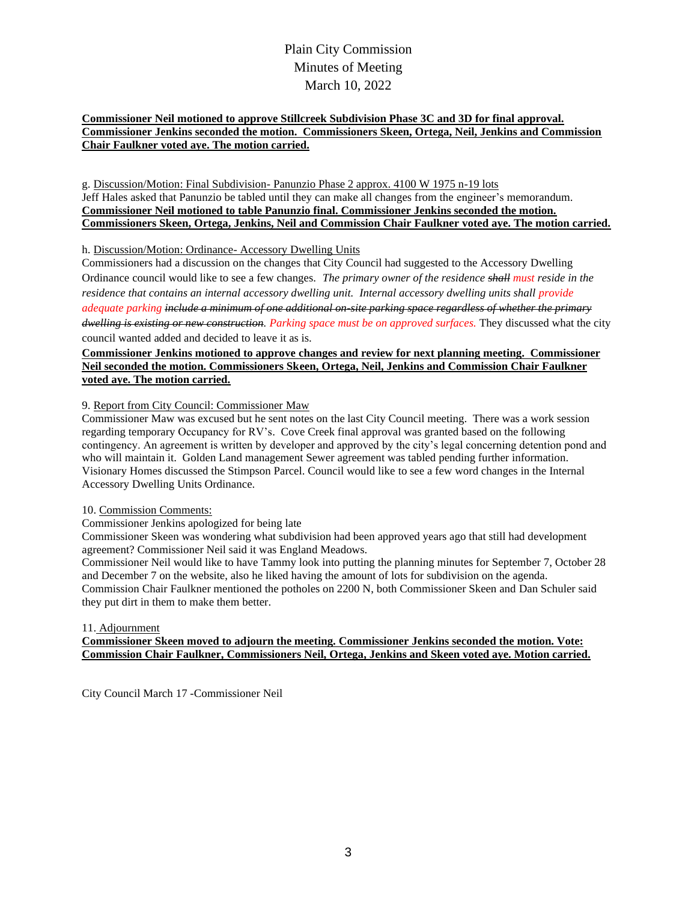### **Commissioner Neil motioned to approve Stillcreek Subdivision Phase 3C and 3D for final approval. Commissioner Jenkins seconded the motion. Commissioners Skeen, Ortega, Neil, Jenkins and Commission Chair Faulkner voted aye. The motion carried.**

g. Discussion/Motion: Final Subdivision- Panunzio Phase 2 approx. 4100 W 1975 n-19 lots Jeff Hales asked that Panunzio be tabled until they can make all changes from the engineer's memorandum. **Commissioner Neil motioned to table Panunzio final. Commissioner Jenkins seconded the motion. Commissioners Skeen, Ortega, Jenkins, Neil and Commission Chair Faulkner voted aye. The motion carried.** 

h. Discussion/Motion: Ordinance- Accessory Dwelling Units

Commissioners had a discussion on the changes that City Council had suggested to the Accessory Dwelling Ordinance council would like to see a few changes. *The primary owner of the residence shall must reside in the residence that contains an internal accessory dwelling unit. Internal accessory dwelling units shall provide* 

*adequate parking include a minimum of one additional on-site parking space regardless of whether the primary dwelling is existing or new construction. Parking space must be on approved surfaces.* They discussed what the city council wanted added and decided to leave it as is.

### **Commissioner Jenkins motioned to approve changes and review for next planning meeting. Commissioner Neil seconded the motion. Commissioners Skeen, Ortega, Neil, Jenkins and Commission Chair Faulkner voted aye. The motion carried.**

## 9. Report from City Council: Commissioner Maw

Commissioner Maw was excused but he sent notes on the last City Council meeting. There was a work session regarding temporary Occupancy for RV's. Cove Creek final approval was granted based on the following contingency. An agreement is written by developer and approved by the city's legal concerning detention pond and who will maintain it. Golden Land management Sewer agreement was tabled pending further information. Visionary Homes discussed the Stimpson Parcel. Council would like to see a few word changes in the Internal Accessory Dwelling Units Ordinance.

## 10. Commission Comments:

Commissioner Jenkins apologized for being late

Commissioner Skeen was wondering what subdivision had been approved years ago that still had development agreement? Commissioner Neil said it was England Meadows.

Commissioner Neil would like to have Tammy look into putting the planning minutes for September 7, October 28 and December 7 on the website, also he liked having the amount of lots for subdivision on the agenda. Commission Chair Faulkner mentioned the potholes on 2200 N, both Commissioner Skeen and Dan Schuler said they put dirt in them to make them better.

11. Adjournment

### **Commissioner Skeen moved to adjourn the meeting. Commissioner Jenkins seconded the motion. Vote: Commission Chair Faulkner, Commissioners Neil, Ortega, Jenkins and Skeen voted aye. Motion carried.**

City Council March 17 -Commissioner Neil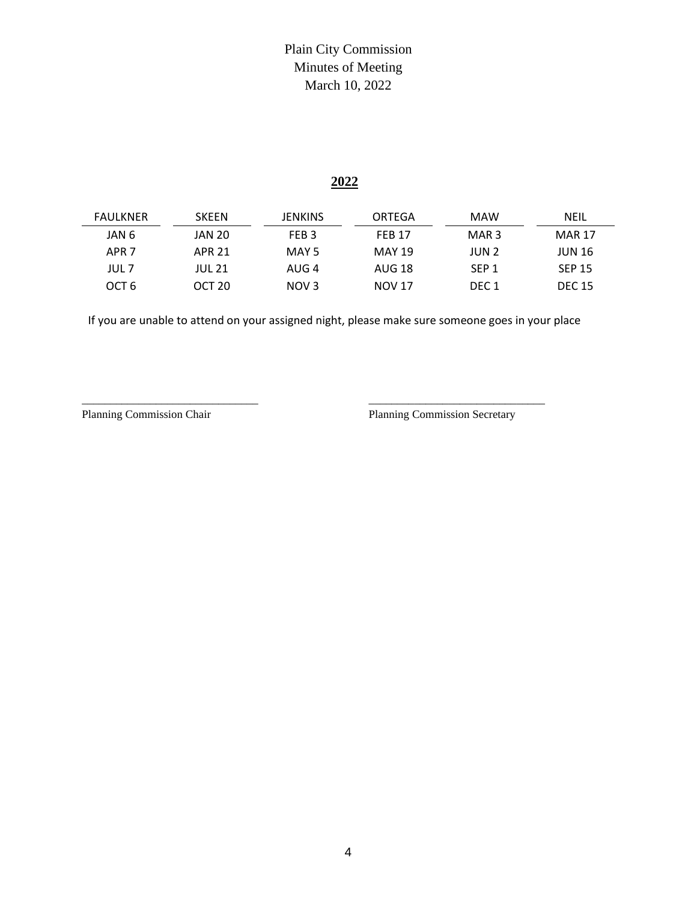## **2022**

| FAULKNER         | <b>SKEEN</b>      | <b>JENKINS</b>   | ORTEGA        | <b>MAW</b>       | NEIL          |
|------------------|-------------------|------------------|---------------|------------------|---------------|
| JAN 6            | <b>JAN 20</b>     | FFB <sub>3</sub> | <b>FFB 17</b> | MAR <sub>3</sub> | <b>MAR 17</b> |
| APR <sub>7</sub> | APR 21            | MAY 5            | <b>MAY 19</b> | JUN 2            | <b>JUN 16</b> |
| JUL 7            | <b>JUL 21</b>     | AUG 4            | AUG 18        | SEP 1            | <b>SEP 15</b> |
| OCT 6            | OCT <sub>20</sub> | NOV <sub>3</sub> | <b>NOV 17</b> | DEC <sub>1</sub> | <b>DEC 15</b> |

If you are unable to attend on your assigned night, please make sure someone goes in your place

\_\_\_\_\_\_\_\_\_\_\_\_\_\_\_\_\_\_\_\_\_\_\_\_\_\_\_\_\_\_\_ \_\_\_\_\_\_\_\_\_\_\_\_\_\_\_\_\_\_\_\_\_\_\_\_\_\_\_\_\_\_\_

Planning Commission Chair Planning Commission Secretary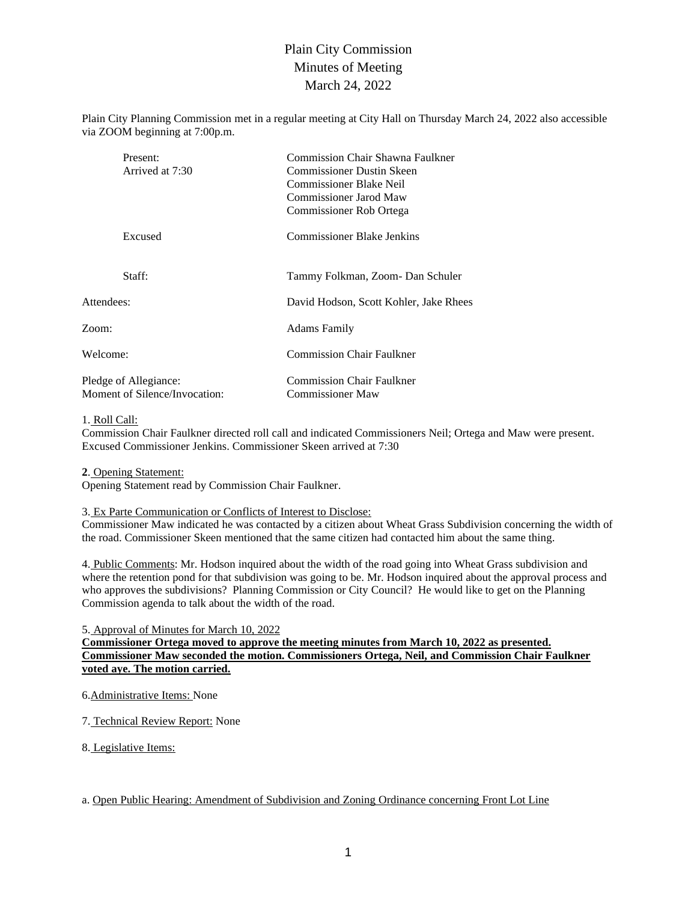Plain City Planning Commission met in a regular meeting at City Hall on Thursday March 24, 2022 also accessible via ZOOM beginning at 7:00p.m.

|                                                        | Present:<br>Arrived at 7:30 | Commission Chair Shawna Faulkner<br>Commissioner Dustin Skeen<br>Commissioner Blake Neil<br>Commissioner Jarod Maw<br>Commissioner Rob Ortega |  |  |
|--------------------------------------------------------|-----------------------------|-----------------------------------------------------------------------------------------------------------------------------------------------|--|--|
|                                                        | Excused                     | Commissioner Blake Jenkins                                                                                                                    |  |  |
|                                                        | Staff:                      | Tammy Folkman, Zoom- Dan Schuler                                                                                                              |  |  |
| Attendees:                                             |                             | David Hodson, Scott Kohler, Jake Rhees                                                                                                        |  |  |
| Zoom:                                                  |                             | Adams Family                                                                                                                                  |  |  |
| Welcome:                                               |                             | <b>Commission Chair Faulkner</b>                                                                                                              |  |  |
| Pledge of Allegiance:<br>Moment of Silence/Invocation: |                             | <b>Commission Chair Faulkner</b><br>Commissioner Maw                                                                                          |  |  |

1. Roll Call:

Commission Chair Faulkner directed roll call and indicated Commissioners Neil; Ortega and Maw were present. Excused Commissioner Jenkins. Commissioner Skeen arrived at 7:30

**2**. Opening Statement:

Opening Statement read by Commission Chair Faulkner.

3. Ex Parte Communication or Conflicts of Interest to Disclose:

Commissioner Maw indicated he was contacted by a citizen about Wheat Grass Subdivision concerning the width of the road. Commissioner Skeen mentioned that the same citizen had contacted him about the same thing.

4. Public Comments: Mr. Hodson inquired about the width of the road going into Wheat Grass subdivision and where the retention pond for that subdivision was going to be. Mr. Hodson inquired about the approval process and who approves the subdivisions? Planning Commission or City Council? He would like to get on the Planning Commission agenda to talk about the width of the road.

#### 5. Approval of Minutes for March 10, 2022

**Commissioner Ortega moved to approve the meeting minutes from March 10, 2022 as presented. Commissioner Maw seconded the motion. Commissioners Ortega, Neil, and Commission Chair Faulkner voted aye. The motion carried.**

6.Administrative Items: None

7. Technical Review Report: None

8. Legislative Items:

#### a. Open Public Hearing: Amendment of Subdivision and Zoning Ordinance concerning Front Lot Line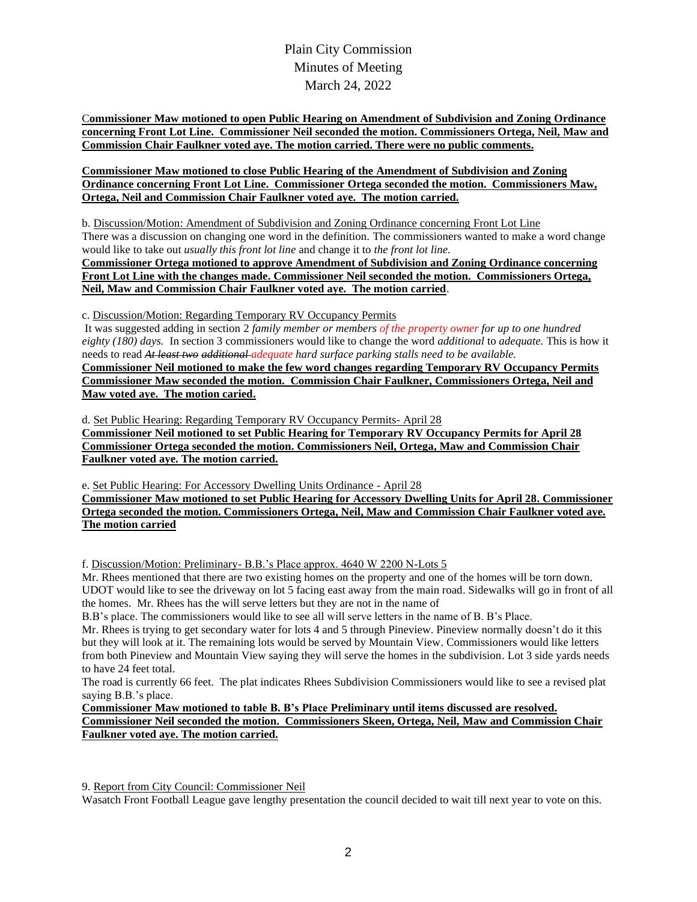C**ommissioner Maw motioned to open Public Hearing on Amendment of Subdivision and Zoning Ordinance concerning Front Lot Line. Commissioner Neil seconded the motion. Commissioners Ortega, Neil, Maw and Commission Chair Faulkner voted aye. The motion carried. There were no public comments.**

**Commissioner Maw motioned to close Public Hearing of the Amendment of Subdivision and Zoning Ordinance concerning Front Lot Line. Commissioner Ortega seconded the motion. Commissioners Maw, Ortega, Neil and Commission Chair Faulkner voted aye. The motion carried.**

b. Discussion/Motion: Amendment of Subdivision and Zoning Ordinance concerning Front Lot Line There was a discussion on changing one word in the definition. The commissioners wanted to make a word change would like to take out *usually this front lot line* and change it to *the front lot line.*

**Commissioner Ortega motioned to approve Amendment of Subdivision and Zoning Ordinance concerning Front Lot Line with the changes made. Commissioner Neil seconded the motion. Commissioners Ortega, Neil, Maw and Commission Chair Faulkner voted aye. The motion carried**.

c. Discussion/Motion: Regarding Temporary RV Occupancy Permits

It was suggested adding in section 2 *family member or members of the property owner for up to one hundred eighty (180) days.* In section 3 commissioners would like to change the word *additional* to *adequate.* This is how it needs to read *At least two additional adequate hard surface parking stalls need to be available.*

**Commissioner Neil motioned to make the few word changes regarding Temporary RV Occupancy Permits Commissioner Maw seconded the motion. Commission Chair Faulkner, Commissioners Ortega, Neil and Maw voted aye. The motion caried.** 

d. Set Public Hearing: Regarding Temporary RV Occupancy Permits- April 28

**Commissioner Neil motioned to set Public Hearing for Temporary RV Occupancy Permits for April 28 Commissioner Ortega seconded the motion. Commissioners Neil, Ortega, Maw and Commission Chair Faulkner voted aye. The motion carried.**

e. Set Public Hearing: For Accessory Dwelling Units Ordinance - April 28

**Commissioner Maw motioned to set Public Hearing for Accessory Dwelling Units for April 28. Commissioner Ortega seconded the motion. Commissioners Ortega, Neil, Maw and Commission Chair Faulkner voted aye. The motion carried**

f. Discussion/Motion: Preliminary- B.B.'s Place approx. 4640 W 2200 N-Lots 5

Mr. Rhees mentioned that there are two existing homes on the property and one of the homes will be torn down. UDOT would like to see the driveway on lot 5 facing east away from the main road. Sidewalks will go in front of all the homes. Mr. Rhees has the will serve letters but they are not in the name of

B.B's place. The commissioners would like to see all will serve letters in the name of B. B's Place.

Mr. Rhees is trying to get secondary water for lots 4 and 5 through Pineview. Pineview normally doesn't do it this but they will look at it. The remaining lots would be served by Mountain View. Commissioners would like letters from both Pineview and Mountain View saying they will serve the homes in the subdivision. Lot 3 side yards needs to have 24 feet total.

The road is currently 66 feet. The plat indicates Rhees Subdivision Commissioners would like to see a revised plat saying B.B.'s place.

**Commissioner Maw motioned to table B. B's Place Preliminary until items discussed are resolved. Commissioner Neil seconded the motion. Commissioners Skeen, Ortega, Neil, Maw and Commission Chair Faulkner voted aye. The motion carried.**

9. Report from City Council: Commissioner Neil

Wasatch Front Football League gave lengthy presentation the council decided to wait till next year to vote on this.